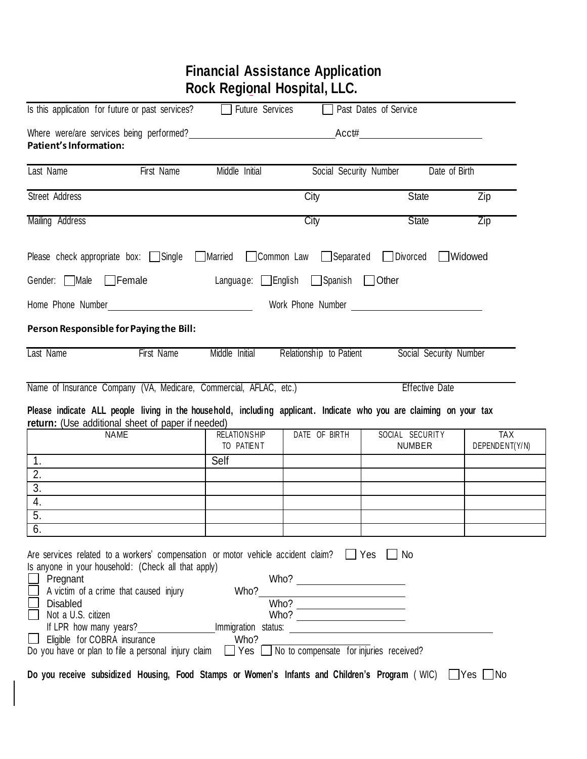|                                                                                   |                                                                                                                                                                                                                                                                                                                                                                                                                                                                                                                                           | <b>Financial Assistance Application</b><br>Rock Regional Hospital, LLC. |                         |                                                                                                                                                                |                |
|-----------------------------------------------------------------------------------|-------------------------------------------------------------------------------------------------------------------------------------------------------------------------------------------------------------------------------------------------------------------------------------------------------------------------------------------------------------------------------------------------------------------------------------------------------------------------------------------------------------------------------------------|-------------------------------------------------------------------------|-------------------------|----------------------------------------------------------------------------------------------------------------------------------------------------------------|----------------|
| Is this application for future or past services?                                  |                                                                                                                                                                                                                                                                                                                                                                                                                                                                                                                                           | □ Future Services                                                       |                         | Past Dates of Service                                                                                                                                          |                |
| <b>Patient's Information:</b>                                                     | Where were/are services being performed? Measurement of the services being performed?                                                                                                                                                                                                                                                                                                                                                                                                                                                     |                                                                         |                         | Acct#                                                                                                                                                          |                |
| Last Name                                                                         | First Name                                                                                                                                                                                                                                                                                                                                                                                                                                                                                                                                | Middle Initial                                                          | Social Security Number  | Date of Birth                                                                                                                                                  |                |
| Street Address                                                                    |                                                                                                                                                                                                                                                                                                                                                                                                                                                                                                                                           |                                                                         | City                    | <b>State</b>                                                                                                                                                   | Zip            |
| Mailing Address                                                                   |                                                                                                                                                                                                                                                                                                                                                                                                                                                                                                                                           |                                                                         | City                    | <b>State</b>                                                                                                                                                   | Zip            |
|                                                                                   | Please check appropriate box: $\Box$ Single $\Box$ Married                                                                                                                                                                                                                                                                                                                                                                                                                                                                                |                                                                         | Common Law Separated    | Divorced                                                                                                                                                       | Widowed        |
| Gender: Male                                                                      | $\Box$ Female                                                                                                                                                                                                                                                                                                                                                                                                                                                                                                                             | Language: English Spanish                                               |                         | Other                                                                                                                                                          |                |
| Home Phone Number                                                                 | <u> 1989 - Johann Barbara, martin a</u>                                                                                                                                                                                                                                                                                                                                                                                                                                                                                                   |                                                                         |                         |                                                                                                                                                                |                |
| Person Responsible for Paying the Bill:                                           |                                                                                                                                                                                                                                                                                                                                                                                                                                                                                                                                           |                                                                         |                         |                                                                                                                                                                |                |
| Last Name                                                                         | First Name                                                                                                                                                                                                                                                                                                                                                                                                                                                                                                                                | Middle Initial                                                          | Relationship to Patient | Social Security Number                                                                                                                                         |                |
|                                                                                   | Name of Insurance Company (VA, Medicare, Commercial, AFLAC, etc.)<br>return: (Use additional sheet of paper if needed)<br><b>NAME</b>                                                                                                                                                                                                                                                                                                                                                                                                     |                                                                         | DATE OF BIRTH           | <b>Effective Date</b><br>Please indicate ALL people living in the household, including applicant. Indicate who you are claiming on your tax<br>SOCIAL SECURITY | <b>TAX</b>     |
|                                                                                   |                                                                                                                                                                                                                                                                                                                                                                                                                                                                                                                                           | <b>RELATIONSHIP</b><br>TO PATIENT                                       |                         | <b>NUMBER</b>                                                                                                                                                  | DEPENDENT(Y/N) |
| 1.                                                                                |                                                                                                                                                                                                                                                                                                                                                                                                                                                                                                                                           | Self                                                                    |                         |                                                                                                                                                                |                |
| 2.<br>$\overline{3}$ .                                                            |                                                                                                                                                                                                                                                                                                                                                                                                                                                                                                                                           |                                                                         |                         |                                                                                                                                                                |                |
| 4.                                                                                |                                                                                                                                                                                                                                                                                                                                                                                                                                                                                                                                           |                                                                         |                         |                                                                                                                                                                |                |
| $\overline{5}$ .                                                                  |                                                                                                                                                                                                                                                                                                                                                                                                                                                                                                                                           |                                                                         |                         |                                                                                                                                                                |                |
| 6.                                                                                |                                                                                                                                                                                                                                                                                                                                                                                                                                                                                                                                           |                                                                         |                         |                                                                                                                                                                |                |
| Pregnant<br><b>Disabled</b><br>Not a U.S. citizen<br>Eligible for COBRA insurance | Are services related to a workers' compensation or motor vehicle accident claim? Thes<br>Is anyone in your household: (Check all that apply)<br>A victim of a crime that caused injury<br>If LPR how many years? Internal internal internal internal internal internal internal internal internal internal internal internal internal internal internal internal internal internal internal internal internal internal i<br>Do you have or plan to file a personal injury claim $\Box$ Yes $\Box$ No to compensate for injuries received? | Who?<br>Who?                                                            | $\frac{Who?}{Who?}$     | ∣ ∣No                                                                                                                                                          |                |
|                                                                                   |                                                                                                                                                                                                                                                                                                                                                                                                                                                                                                                                           |                                                                         |                         | Do you receive subsidized Housing, Food Stamps or Women's Infants and Children's Program (WIC) UYes No                                                         |                |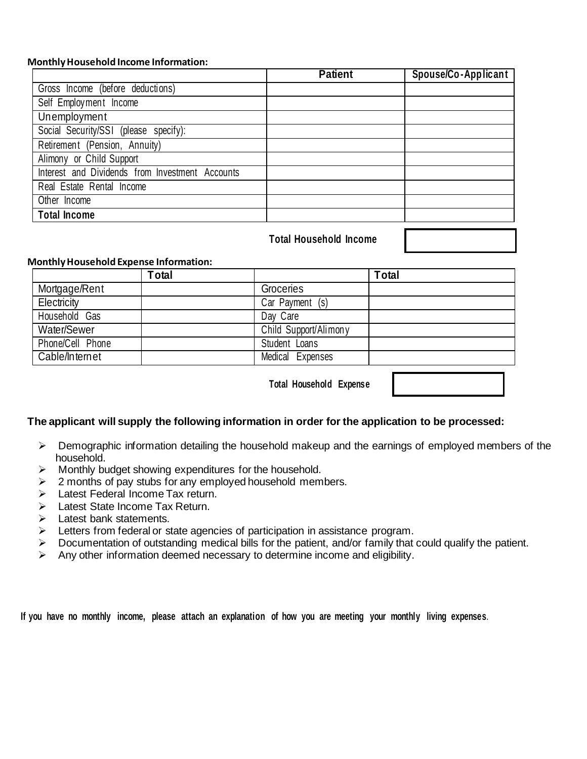## **MonthlyHousehold Income Information:**

|                                                 | <b>Patient</b> | Spouse/Co-Applicant |
|-------------------------------------------------|----------------|---------------------|
| Gross Income (before deductions)                |                |                     |
| Self Employment Income                          |                |                     |
| Unemployment                                    |                |                     |
| Social Security/SSI (please specify):           |                |                     |
| Retirement (Pension, Annuity)                   |                |                     |
| Alimony or Child Support                        |                |                     |
| Interest and Dividends from Investment Accounts |                |                     |
| Real Estate Rental Income                       |                |                     |
| Other Income                                    |                |                     |
| <b>Total Income</b>                             |                |                     |
|                                                 |                |                     |

# **Total Household Income**

### **MonthlyHousehold Expense Information:**

|                  | <b>Total</b> |                       | <b>T</b> otal |
|------------------|--------------|-----------------------|---------------|
| Mortgage/Rent    |              | Groceries             |               |
| Electricity      |              | Car Payment (s)       |               |
| Household Gas    |              | Day Care              |               |
| Water/Sewer      |              | Child Support/Alimony |               |
| Phone/Cell Phone |              | Student Loans         |               |
| Cable/Internet   |              | Medical Expenses      |               |
|                  |              |                       |               |

**Total Household Expense**

|  |  |  | The applicant will supply the following information in order for the application to be processed: |
|--|--|--|---------------------------------------------------------------------------------------------------|
|  |  |  |                                                                                                   |
|  |  |  |                                                                                                   |
|  |  |  |                                                                                                   |

- ➢ Demographic information detailing the household makeup and the earnings of employed members of the household.
- ➢ Monthly budget showing expenditures for the household.
- $\geq$  2 months of pay stubs for any employed household members.
- ➢ Latest Federal Income Tax return.
- ➢ Latest State Income Tax Return.
- ➢ Latest bank statements.
- ➢ Letters from federal or state agencies of participation in assistance program.
- ➢ Documentation of outstanding medical bills for the patient, and/or family that could qualify the patient.
- $\triangleright$  Any other information deemed necessary to determine income and eligibility.

If you have no monthly income, please attach an explanation of how you are meeting your monthly living expenses.